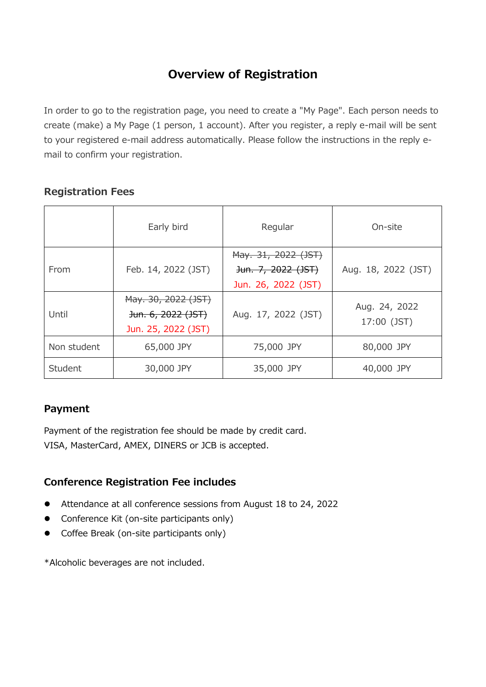# **Overview of Registration**

In order to go to the registration page, you need to create a "My Page". Each person needs to create (make) a My Page (1 person, 1 account). After you register, a reply e-mail will be sent to your registered e-mail address automatically. Please follow the instructions in the reply email to confirm your registration.

### **Registration Fees**

|             | Early bird                                                                  | Regular                                                                     | On-site                      |
|-------------|-----------------------------------------------------------------------------|-----------------------------------------------------------------------------|------------------------------|
| From        | Feb. 14, 2022 (JST)                                                         | May. 31, 2022 (JST)<br><del>Jun. 7, 2022 (JST)</del><br>Jun. 26, 2022 (JST) | Aug. 18, 2022 (JST)          |
| Until       | May. 30, 2022 (JST)<br><del>Jun. 6, 2022 (JST)</del><br>Jun. 25, 2022 (JST) | Aug. 17, 2022 (JST)                                                         | Aug. 24, 2022<br>17:00 (JST) |
| Non student | 65,000 JPY                                                                  | 75,000 JPY                                                                  | 80,000 JPY                   |
| Student     | 30,000 JPY                                                                  | 35,000 JPY                                                                  | 40,000 JPY                   |

### **Payment**

Payment of the registration fee should be made by credit card. VISA, MasterCard, AMEX, DINERS or JCB is accepted.

## **Conference Registration Fee includes**

- ⚫ Attendance at all conference sessions from August 18 to 24, 2022
- Conference Kit (on-site participants only)
- Coffee Break (on-site participants only)

\*Alcoholic beverages are not included.